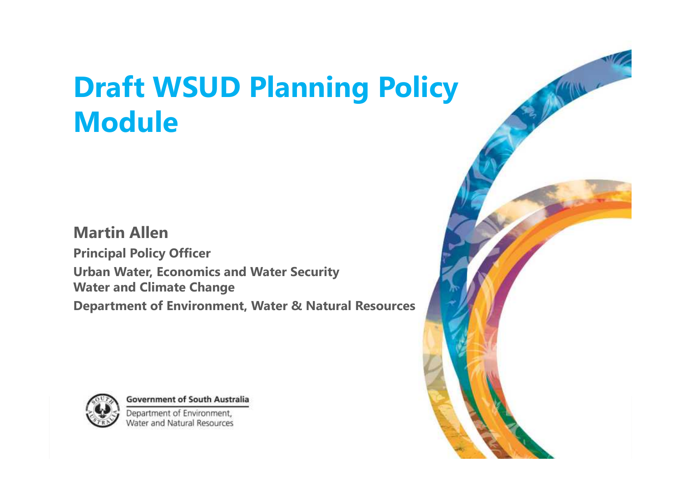# **Draft WSUD Planning Policy And Added Module**

#### **Martin Allen Principal Policy Officer Urban Water, Economics and Water Security Water and Climate Change Department of Environment, Water & Natural Resources**



**Government of South Australia** Department of Environment.

Water and Natural Resources

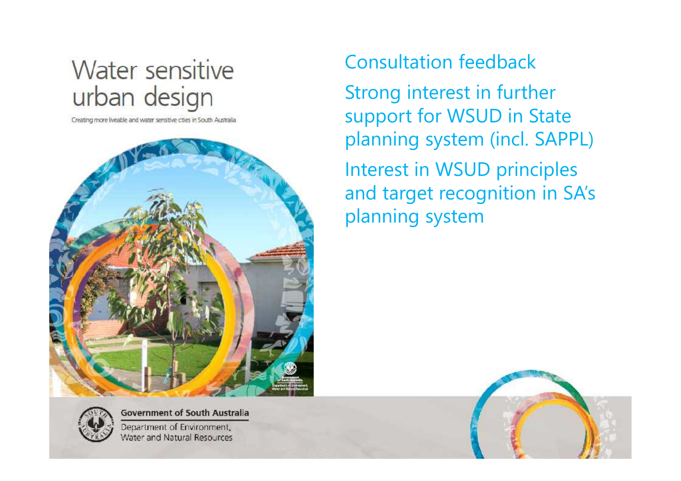## Water sensitive urban design

Creating more liveable and water sensitive cities in South Australia



**Government of South Australia** Department of Environment, Water and Natural Resources

#### Consultation feedback

Strong interest in further support for WSUD in State planning system (incl. SAPPL) Interest in WSUD principles and target recognition in SA's planning system

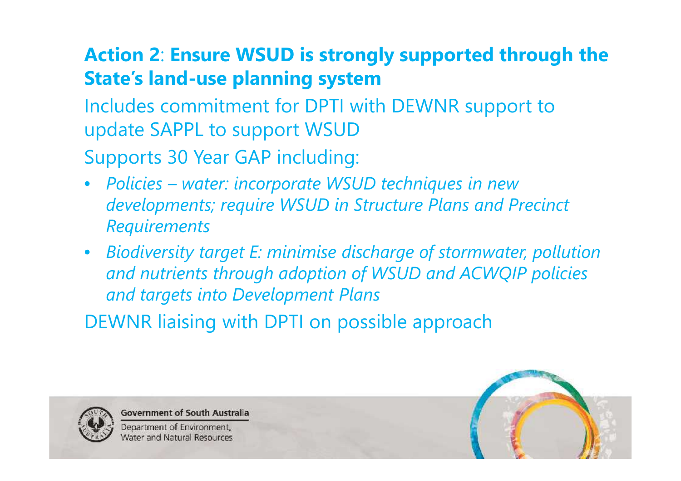### **Action 2**: **Ensure WSUD is strongly supported through the State's land-use planning system**

Includes commitment for DPTI with DEWNR support to update SAPPL to support WSUD

Supports 30 Year GAP including:

- *Policies – water: incorporate WSUD techniques in new developments; require WSUD in Structure Plans and Precinct Requirements*
- *Biodiversity target E: minimise discharge of stormwater, pollution and nutrients through adoption of WSUD and ACWQIP policies and targets into Development Plans*

DEWNR liaising with DPTI on possible approach



**Government of South Australia** 

Department of Environment, **Nater and Natural Resources** 

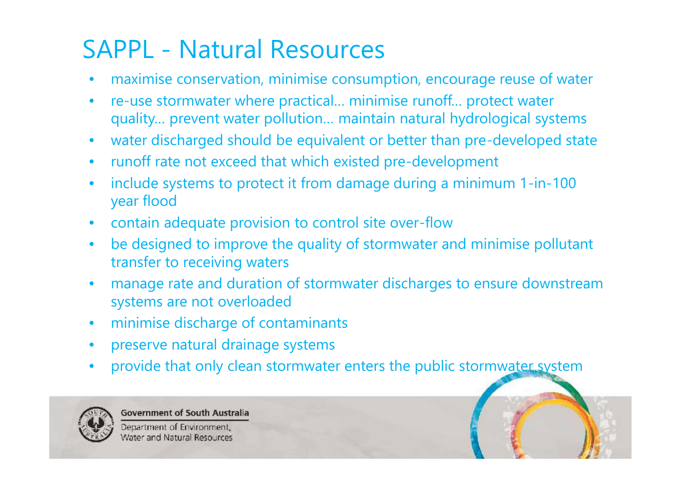## SAPPL - Natural Resources

- maximise conservation, minimise consumption, encourage reuse of water
- re-use stormwater where practical… minimise runoff… protect water quality… prevent water pollution… maintain natural hydrological systems
- water discharged should be equivalent or better than pre-developed state
- runoff rate not exceed that which existed pre-development
- include systems to protect it from damage during a minimum 1-in-100 year flood
- contain adequate provision to control site over-flow
- be designed to improve the quality of stormwater and minimise pollutant transfer to receiving waters
- manage rate and duration of stormwater discharges to ensure downstream systems are not overloaded
- minimise discharge of contaminants
- preserve natural drainage systems
- provide that only clean stormwater enters the public stormwater system



**Government of South Australia** 

Department of Environment, Water and Natural Resources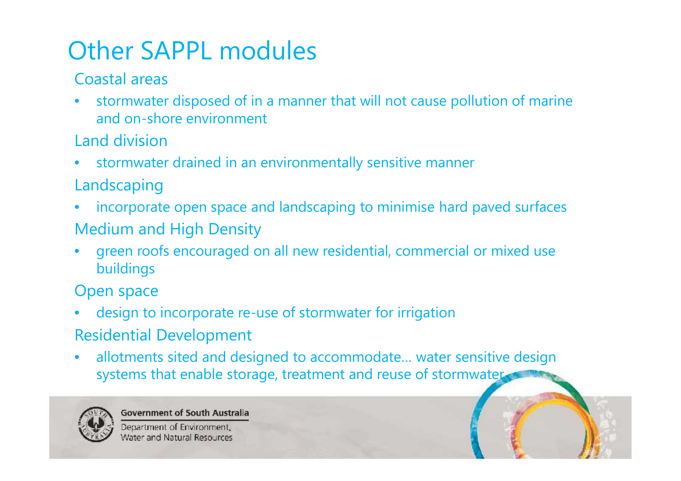## Other SAPPL modules

Coastal areas

- stormwater disposed of in a manner that will not cause pollution of marine and on-shore environment
- Land division
- stormwater drained in an environmentally sensitive manner
- Landscaping
- incorporate open space and landscaping to minimise hard paved surfaces Medium and High Density
- green roofs encouraged on all new residential, commercial or mixed use buildings

Open space

- design to incorporate re-use of stormwater for irrigation Residential Development
- allotments sited and designed to accommodate… water sensitive design systems that enable storage, treatment and reuse of stormwaters



**Government of South Australia** 

Department of Environment, Water and Natural Resources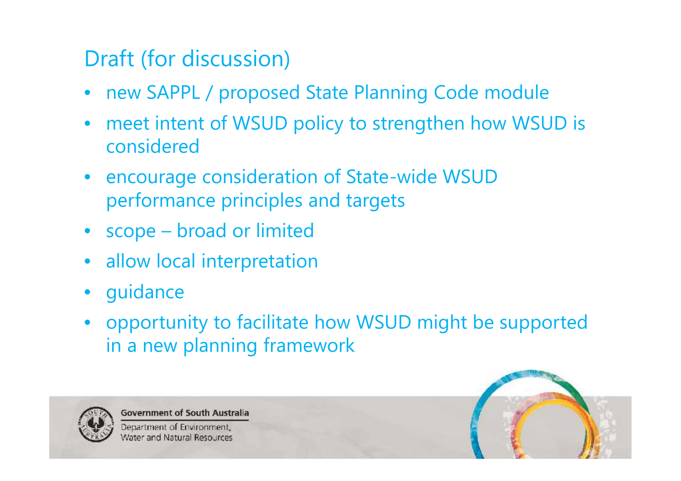## Draft (for discussion)

- new SAPPL / proposed State Planning Code module
- meet intent of WSUD policy to strengthen how WSUD is considered
- encourage consideration of State-wide WSUD performance principles and targets
- scope broad or limited
- allow local interpretation
- guidance
- opportunity to facilitate how WSUD might be supported in a new planning framework



**Government of South Australia** 

Department of Environment Water and Natural Resources

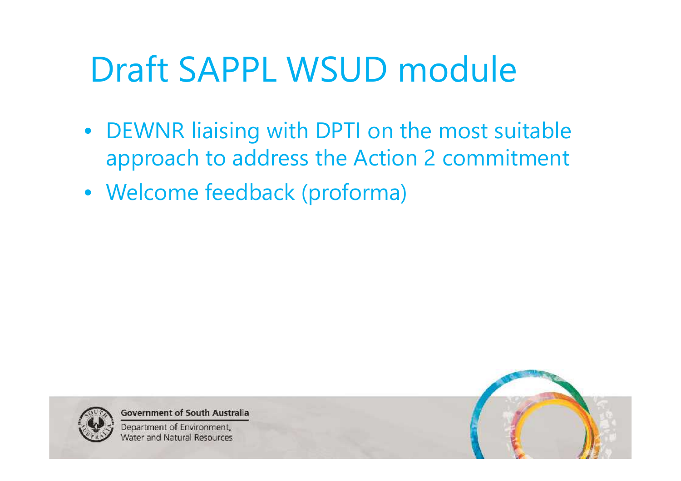# Draft SAPPL WSUD module

- DEWNR liaising with DPTI on the most suitable approach to address the Action 2 commitment
- Welcome feedback (proforma)



**Government of South Australia** 

Department of Environment, Water and Natural Resources